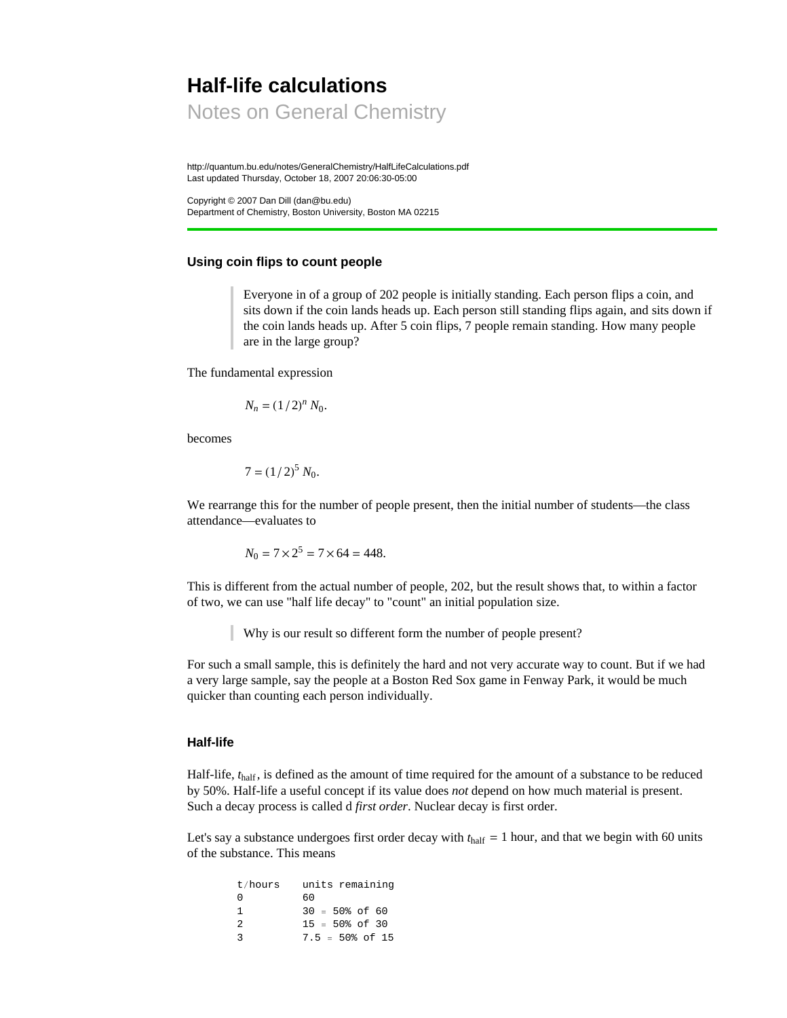# **Half-life calculations**

Notes on General Chemistry

http://quantum.bu.edu/notes/GeneralChemistry/HalfLifeCalculations.pdf Last updated Thursday, October 18, 2007 20:06:30-05:00

Copyright © 2007 Dan Dill (dan@bu.edu) Department of Chemistry, Boston University, Boston MA 02215

## **Using coin flips to count people**

Everyone in of a group of 202 people is initially standing. Each person flips a coin, and sits down if the coin lands heads up. Each person still standing flips again, and sits down if the coin lands heads up. After 5 coin flips, 7 people remain standing. How many people are in the large group?

The fundamental expression

$$
N_n = \left(1/2\right)^n N_0.
$$

becomes

$$
7 = (1/2)^5 N_0.
$$

We rearrange this for the number of people present, then the initial number of students—the class attendance—evaluates to

$$
N_0 = 7 \times 2^5 = 7 \times 64 = 448.
$$

This is different from the actual number of people, 202, but the result shows that, to within a factor of two, we can use "half life decay" to "count" an initial population size.

Why is our result so different form the number of people present?

For such a small sample, this is definitely the hard and not very accurate way to count. But if we had a very large sample, say the people at a Boston Red Sox game in Fenway Park, it would be much quicker than counting each person individually.

## **Half-life**

Half-life, *t*<sub>half</sub>, is defined as the amount of time required for the amount of a substance to be reduced by 50%. Half-life a useful concept if its value does *not* depend on how much material is present. Such a decay process is called d *first order*. Nuclear decay is first order.

Let's say a substance undergoes first order decay with  $t_{\text{half}} = 1$  hour, and that we begin with 60 units of the substance. This means

| t/hours       | units remaining             |
|---------------|-----------------------------|
| U             | 60                          |
| Т.            | $30 = 50\% \text{ of } 60$  |
| $\mathcal{L}$ | $15 = 50\% \text{ of } 30$  |
| 2             | $7.5 = 50\% \text{ of } 15$ |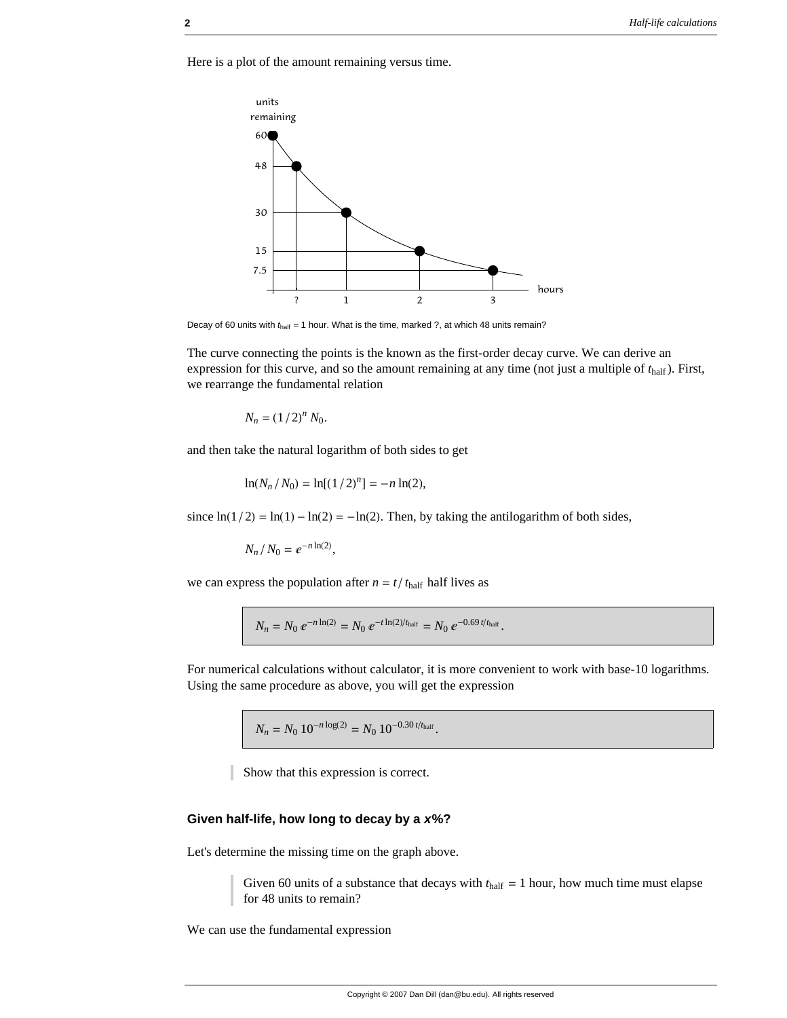Here is a plot of the amount remaining versus time.



Decay of 60 units with  $t<sub>half</sub> = 1$  hour. What is the time, marked ?, at which 48 units remain?

The curve connecting the points is the known as the first-order decay curve. We can derive an expression for this curve, and so the amount remaining at any time (not just a multiple of *t*half ). First, we rearrange the fundamental relation

$$
N_n = \left(1/2\right)^n N_0.
$$

and then take the natural logarithm of both sides to get

$$
\ln(N_n/N_0) = \ln[(1/2)^n] = -n\ln(2),
$$

since  $ln(1/2) = ln(1) - ln(2) = -ln(2)$ . Then, by taking the antilogarithm of both sides,

$$
N_n/N_0 = e^{-n\ln(2)},
$$

we can express the population after  $n = t/t_{\text{half}}$  half lives as

$$
N_n = N_0 e^{-n \ln(2)} = N_0 e^{-t \ln(2)/t_{\text{half}}} = N_0 e^{-0.69 t/t_{\text{half}}}.
$$

For numerical calculations without calculator, it is more convenient to work with base-10 logarithms. Using the same procedure as above, you will get the expression

 $N_n = N_0 10^{-n \log(2)} = N_0 10^{-0.30 t/t_{\text{half}}}.$ 

Show that this expression is correct.

#### **Given half-life, how long to decay by a** *x***%?**

Let's determine the missing time on the graph above.

Given 60 units of a substance that decays with  $t_{\text{half}} = 1$  hour, how much time must elapse for 48 units to remain?

We can use the fundamental expression